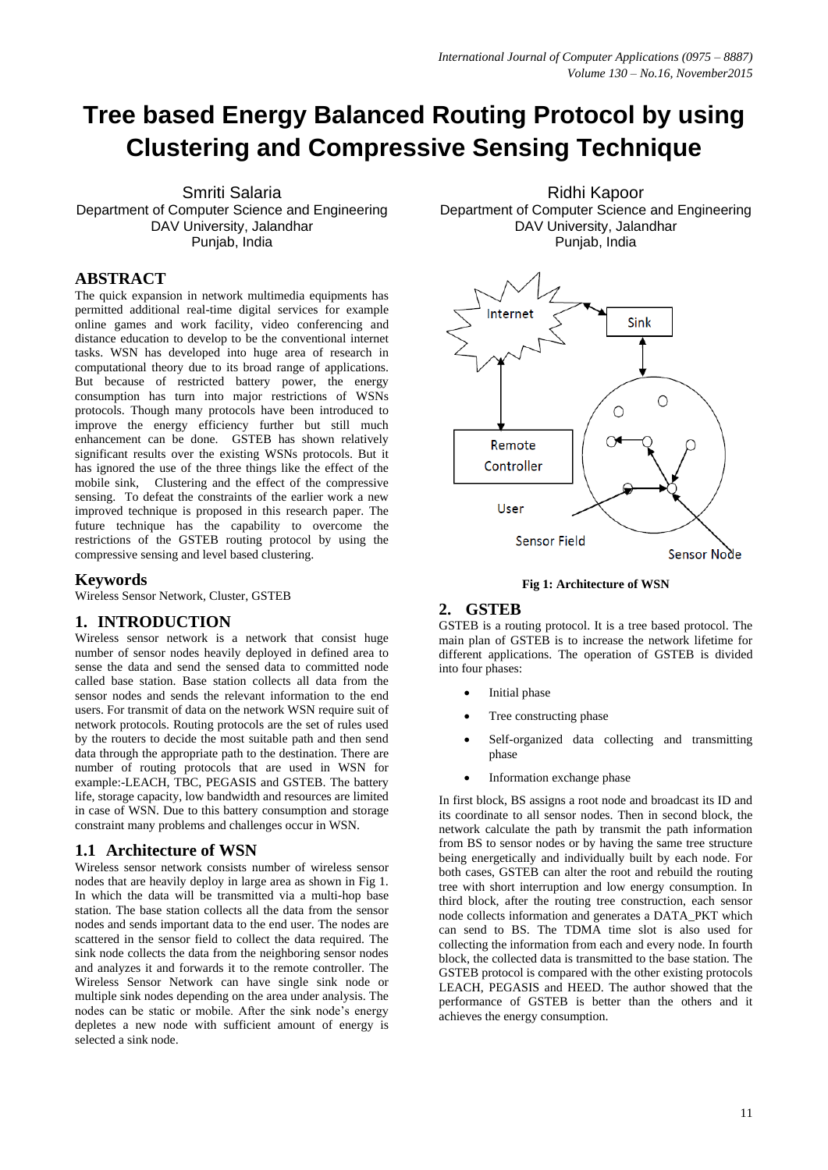# **Tree based Energy Balanced Routing Protocol by using Clustering and Compressive Sensing Technique**

Smriti Salaria Department of Computer Science and Engineering DAV University, Jalandhar Punjab, India

# **ABSTRACT**

The quick expansion in network multimedia equipments has permitted additional real-time digital services for example online games and work facility, video conferencing and distance education to develop to be the conventional internet tasks. WSN has developed into huge area of research in computational theory due to its broad range of applications. But because of restricted battery power, the energy consumption has turn into major restrictions of WSNs protocols. Though many protocols have been introduced to improve the energy efficiency further but still much enhancement can be done. GSTEB has shown relatively significant results over the existing WSNs protocols. But it has ignored the use of the three things like the effect of the mobile sink, Clustering and the effect of the compressive sensing. To defeat the constraints of the earlier work a new improved technique is proposed in this research paper. The future technique has the capability to overcome the restrictions of the GSTEB routing protocol by using the compressive sensing and level based clustering.

## **Keywords**

Wireless Sensor Network, Cluster, GSTEB

# **1. INTRODUCTION**

Wireless sensor network is a network that consist huge number of sensor nodes heavily deployed in defined area to sense the data and send the sensed data to committed node called base station. Base station collects all data from the sensor nodes and sends the relevant information to the end users. For transmit of data on the network WSN require suit of network protocols. Routing protocols are the set of rules used by the routers to decide the most suitable path and then send data through the appropriate path to the destination. There are number of routing protocols that are used in WSN for example:-LEACH, TBC, PEGASIS and GSTEB. The battery life, storage capacity, low bandwidth and resources are limited in case of WSN. Due to this battery consumption and storage constraint many problems and challenges occur in WSN.

## **1.1 Architecture of WSN**

Wireless sensor network consists number of wireless sensor nodes that are heavily deploy in large area as shown in Fig 1. In which the data will be transmitted via a multi-hop base station. The base station collects all the data from the sensor nodes and sends important data to the end user. The nodes are scattered in the sensor field to collect the data required. The sink node collects the data from the neighboring sensor nodes and analyzes it and forwards it to the remote controller. The Wireless Sensor Network can have single sink node or multiple sink nodes depending on the area under analysis. The nodes can be static or mobile. After the sink node's energy depletes a new node with sufficient amount of energy is selected a sink node.

Ridhi Kapoor Department of Computer Science and Engineering DAV University, Jalandhar Punjab, India



**Fig 1: Architecture of WSN**

## **2. GSTEB**

GSTEB is a routing protocol. It is a tree based protocol. The main plan of GSTEB is to increase the network lifetime for different applications. The operation of GSTEB is divided into four phases:

- Initial phase
- Tree constructing phase
- Self-organized data collecting and transmitting phase
- Information exchange phase

In first block, BS assigns a root node and broadcast its ID and its coordinate to all sensor nodes. Then in second block, the network calculate the path by transmit the path information from BS to sensor nodes or by having the same tree structure being energetically and individually built by each node. For both cases, GSTEB can alter the root and rebuild the routing tree with short interruption and low energy consumption. In third block, after the routing tree construction, each sensor node collects information and generates a DATA\_PKT which can send to BS. The TDMA time slot is also used for collecting the information from each and every node. In fourth block, the collected data is transmitted to the base station. The GSTEB protocol is compared with the other existing protocols LEACH, PEGASIS and HEED. The author showed that the performance of GSTEB is better than the others and it achieves the energy consumption.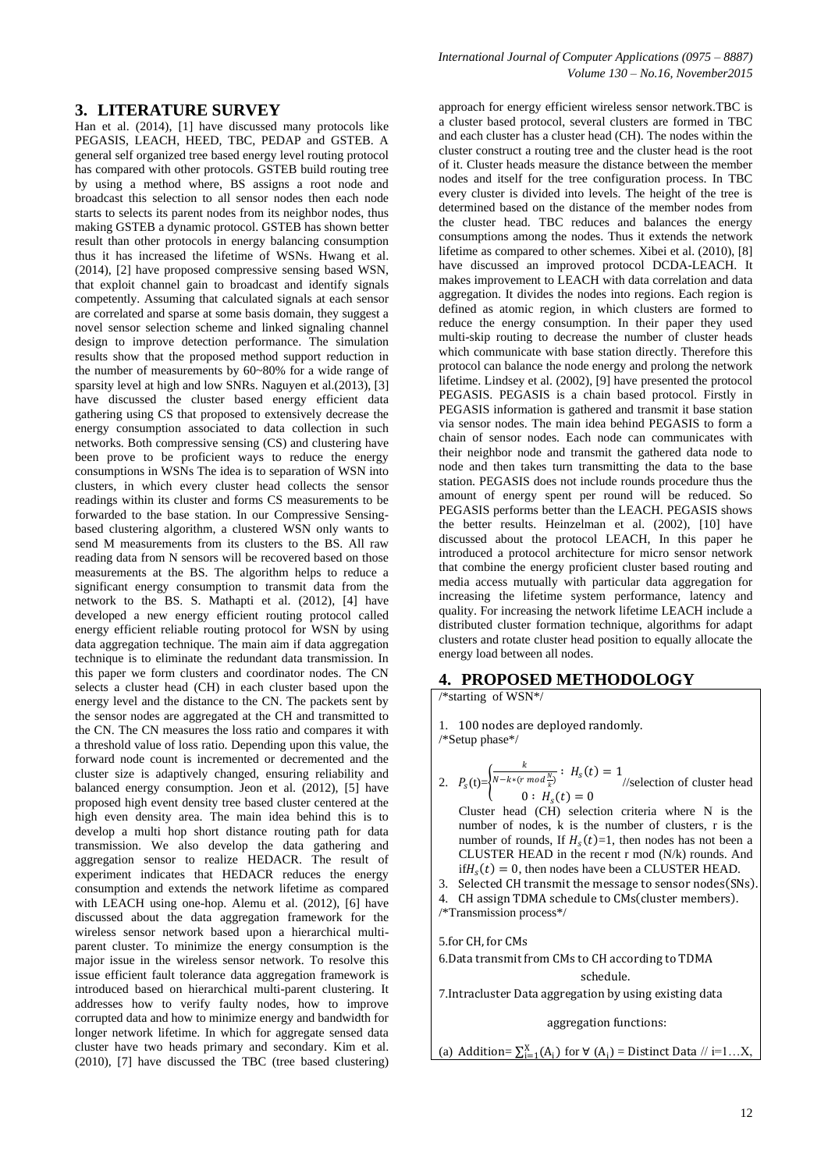## **3. LITERATURE SURVEY**

Han et al. (2014), [1] have discussed many protocols like PEGASIS, LEACH, HEED, TBC, PEDAP and GSTEB. A general self organized tree based energy level routing protocol has compared with other protocols. GSTEB build routing tree by using a method where, BS assigns a root node and broadcast this selection to all sensor nodes then each node starts to selects its parent nodes from its neighbor nodes, thus making GSTEB a dynamic protocol. GSTEB has shown better result than other protocols in energy balancing consumption thus it has increased the lifetime of WSNs. Hwang et al. (2014), [2] have proposed compressive sensing based WSN, that exploit channel gain to broadcast and identify signals competently. Assuming that calculated signals at each sensor are correlated and sparse at some basis domain, they suggest a novel sensor selection scheme and linked signaling channel design to improve detection performance. The simulation results show that the proposed method support reduction in the number of measurements by 60~80% for a wide range of sparsity level at high and low SNRs. Naguyen et al.(2013), [3] have discussed the cluster based energy efficient data gathering using CS that proposed to extensively decrease the energy consumption associated to data collection in such networks. Both compressive sensing (CS) and clustering have been prove to be proficient ways to reduce the energy consumptions in WSNs The idea is to separation of WSN into clusters, in which every cluster head collects the sensor readings within its cluster and forms CS measurements to be forwarded to the base station. In our Compressive Sensingbased clustering algorithm, a clustered WSN only wants to send M measurements from its clusters to the BS. All raw reading data from N sensors will be recovered based on those measurements at the BS. The algorithm helps to reduce a significant energy consumption to transmit data from the network to the BS. S. Mathapti et al. (2012), [4] have developed a new energy efficient routing protocol called energy efficient reliable routing protocol for WSN by using data aggregation technique. The main aim if data aggregation technique is to eliminate the redundant data transmission. In this paper we form clusters and coordinator nodes. The CN selects a cluster head (CH) in each cluster based upon the energy level and the distance to the CN. The packets sent by the sensor nodes are aggregated at the CH and transmitted to the CN. The CN measures the loss ratio and compares it with a threshold value of loss ratio. Depending upon this value, the forward node count is incremented or decremented and the cluster size is adaptively changed, ensuring reliability and balanced energy consumption. Jeon et al. (2012), [5] have proposed high event density tree based cluster centered at the high even density area. The main idea behind this is to develop a multi hop short distance routing path for data transmission. We also develop the data gathering and aggregation sensor to realize HEDACR. The result of experiment indicates that HEDACR reduces the energy consumption and extends the network lifetime as compared with LEACH using one-hop. Alemu et al. (2012), [6] have discussed about the data aggregation framework for the wireless sensor network based upon a hierarchical multiparent cluster. To minimize the energy consumption is the major issue in the wireless sensor network. To resolve this issue efficient fault tolerance data aggregation framework is introduced based on hierarchical multi-parent clustering. It addresses how to verify faulty nodes, how to improve corrupted data and how to minimize energy and bandwidth for longer network lifetime. In which for aggregate sensed data cluster have two heads primary and secondary. Kim et al. (2010), [7] have discussed the TBC (tree based clustering)

approach for energy efficient wireless sensor network.TBC is a cluster based protocol, several clusters are formed in TBC and each cluster has a cluster head (CH). The nodes within the cluster construct a routing tree and the cluster head is the root of it. Cluster heads measure the distance between the member nodes and itself for the tree configuration process. In TBC every cluster is divided into levels. The height of the tree is determined based on the distance of the member nodes from the cluster head. TBC reduces and balances the energy consumptions among the nodes. Thus it extends the network lifetime as compared to other schemes. Xibei et al. (2010), [8] have discussed an improved protocol DCDA-LEACH. It makes improvement to LEACH with data correlation and data aggregation. It divides the nodes into regions. Each region is defined as atomic region, in which clusters are formed to reduce the energy consumption. In their paper they used multi-skip routing to decrease the number of cluster heads which communicate with base station directly. Therefore this protocol can balance the node energy and prolong the network lifetime. Lindsey et al. (2002), [9] have presented the protocol PEGASIS. PEGASIS is a chain based protocol. Firstly in PEGASIS information is gathered and transmit it base station via sensor nodes. The main idea behind PEGASIS to form a chain of sensor nodes. Each node can communicates with their neighbor node and transmit the gathered data node to node and then takes turn transmitting the data to the base station. PEGASIS does not include rounds procedure thus the amount of energy spent per round will be reduced. So PEGASIS performs better than the LEACH. PEGASIS shows the better results. Heinzelman et al. (2002), [10] have discussed about the protocol LEACH, In this paper he introduced a protocol architecture for micro sensor network that combine the energy proficient cluster based routing and media access mutually with particular data aggregation for increasing the lifetime system performance, latency and quality. For increasing the network lifetime LEACH include a distributed cluster formation technique, algorithms for adapt clusters and rotate cluster head position to equally allocate the energy load between all nodes.

#### **4. PROPOSED METHODOLOGY**

/\*starting of WSN\*/

1. 100 nodes are deployed randomly. /\*Setup phase\*/

 $\boldsymbol{k}$ 

2.  $P_s(t)=\}$  $\frac{k}{N-k*(r \mod \frac{N}{k})}$ :  $H_s(t) = 1$ //selection of cluster head  $0: H_s(t) = 0$ 

- Cluster head (CH) selection criteria where N is the number of nodes, k is the number of clusters, r is the number of rounds, If  $H_s(t)=1$ , then nodes has not been a CLUSTER HEAD in the recent r mod (N/k) rounds. And  $\text{if } H_s(t) = 0$ , then nodes have been a CLUSTER HEAD.
- 3. Selected CH transmit the message to sensor nodes (SNs).
- 4. CH assign TDMA schedule to CMs (cluster members). /\*Transmission process\*/

5.for CH, for CMs

6.Data transmit from CMs to CH according to TDMA

schedule.

7.Intracluster Data aggregation by using existing data

aggregation functions:

(a) Addition=  $\sum_{i=1}^{X} (A_i)$  for  $\forall$   $(A_i)$  = Distinct Data // i=1...X,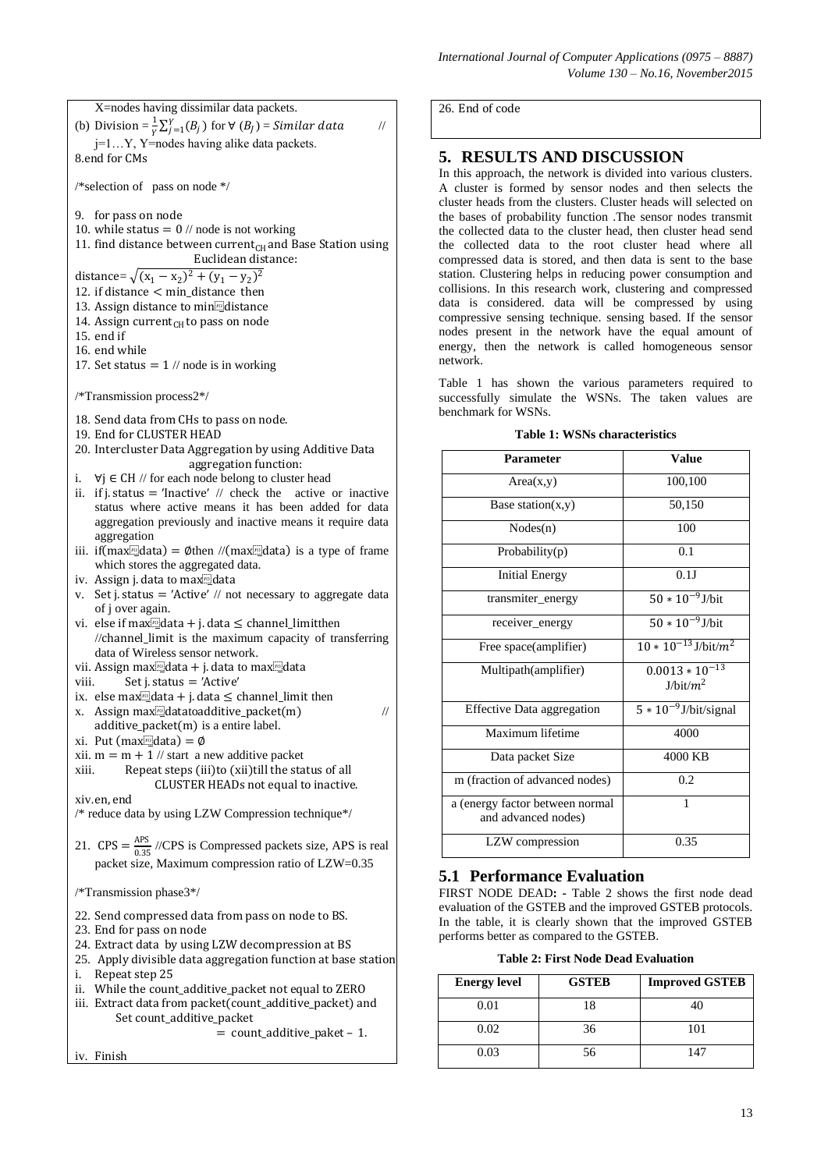*International Journal of Computer Applications (0975 – 8887) Volume 130 – No.16, November2015*

26. End of code

## **5. RESULTS AND DISCUSSION**

In this approach, the network is divided into various clusters. A cluster is formed by sensor nodes and then selects the cluster heads from the clusters. Cluster heads will selected on the bases of probability function .The sensor nodes transmit the collected data to the cluster head, then cluster head send the collected data to the root cluster head where all compressed data is stored, and then data is sent to the base station. Clustering helps in reducing power consumption and collisions. In this research work, clustering and compressed data is considered. data will be compressed by using compressive sensing technique. sensing based. If the sensor nodes present in the network have the equal amount of energy, then the network is called homogeneous sensor network.

Table 1 has shown the various parameters required to successfully simulate the WSNs. The taken values are benchmark for WSNs.

| Table 1: WSNs characteristics |       |
|-------------------------------|-------|
| <b>Parameter</b>              | Value |

| Parameter                                              | Value                                       |
|--------------------------------------------------------|---------------------------------------------|
| Area(x,y)                                              | 100,100                                     |
| Base station $(x,y)$                                   | 50,150                                      |
| Nodes(n)                                               | 100                                         |
| Probability(p)                                         | 0.1                                         |
| <b>Initial Energy</b>                                  | 0.1J                                        |
| transmiter_energy                                      | $50 * 10^{-9}$ J/bit                        |
| receiver_energy                                        | $50 * 10^{-9}$ J/bit                        |
| Free space(amplifier)                                  | $10 * 10^{-13}$ J/bit/m <sup>2</sup>        |
| Multipath(amplifier)                                   | $0.0013 * 10^{-13}$<br>J/bit/m <sup>2</sup> |
| <b>Effective Data aggregation</b>                      | $5 * 10^{-9}$ J/bit/signal                  |
| Maximum lifetime                                       | 4000                                        |
| Data packet Size                                       | 4000 KB                                     |
| m (fraction of advanced nodes)                         | 0.2                                         |
| a (energy factor between normal<br>and advanced nodes) | 1                                           |
| LZW compression                                        | 0.35                                        |

## **5.1 Performance Evaluation**

FIRST NODE DEAD**: -** Table 2 shows the first node dead evaluation of the GSTEB and the improved GSTEB protocols. In the table, it is clearly shown that the improved GSTEB performs better as compared to the GSTEB.

| <b>Table 2: First Node Dead Evaluation</b> |  |
|--------------------------------------------|--|
|--------------------------------------------|--|

| <b>Energy level</b> | <b>GSTEB</b> | <b>Improved GSTEB</b> |
|---------------------|--------------|-----------------------|
| 0.01                | 18           |                       |
| 0.02                | 36           | 101                   |
| 0.03                | 56           | 147                   |

12. if distance < min\_distance then 13. Assign distance to mindiclistance 14. Assign current<sub>CH</sub> to pass on node 15. end if 17. Set status  $= 1$  // node is in working 20. Intercluster Data Aggregation by using Additive Data aggregation function: i.  $∀j ∈ CH // for each node belong to cluster head$ status where active means it has been added for data aggregation previously and inactive means it require data aggregation iii. if  $(\text{max}$ data = Øthen // $(\text{max}$ data is a type of frame which stores the aggregated data. of j over again. //channel\_limit is the maximum capacity of transferring data of Wireless sensor network. vii. Assign max<sup>[6]</sup>data + j. data to max<sup>[6]</sup>data viii. Set j. status = 'Active' x. Assign max $\frac{m}{2}$ datatoadditive\_packet(m) // additive\_packet(m) is a entire label. xi. Put (max $\text{d}$ data) = Ø xii.  $m = m + 1$  // start a new additive packet CLUSTER HEADs not equal to inactive. packet size, Maximum compression ratio of LZW=0.35 Repeat step 25 iii. Extract data from packet(count\_additive\_packet) and Set count additive packet = count\_additive\_paket – 1.

X=nodes having dissimilar data packets. (b) Division =  $\frac{1}{v}$  $\frac{1}{\gamma} \sum_{j=1}^{Y} (B_j)$  for  $\forall$  ( $B_j$ ) = Similar data  $\qquad$  // j=1…Y, Y=nodes having alike data packets. 8.end for CMs

/\*selection of pass on node \*/

- 9. for pass on node
- 10. while status  $= 0$  // node is not working
- 11. find distance between current<sub>CH</sub> and Base Station using Euclidean distance:

distance=  $\sqrt{(x_1 - x_2)^2 + (y_1 - y_2)^2}$ 

- 
- 
- 
- 
- 16. end while
- 

/\*Transmission process2\*/

- 18. Send data from CHs to pass on node.
- 19. End for CLUSTER HEAD
- 
- 
- ii. if j. status = 'Inactive'  $\pi$  check the active or inactive
- 
- iv. Assign j. data to max<sup>10</sup>data
- v. Set j. status  $=$  'Active' // not necessary to aggregate data
- vi. else if max $\Omega$ data + j. data  $\leq$  channel\_limitthen
- 
- 
- ix. else max<sup>[n]</sup>data + j. data  $\leq$  channel\_limit then
- 
- 
- 
- 
- xiii. Repeat steps (iii) to (xii) till the status of all

#### xiv.en, end

/\* reduce data by using LZW Compression technique\*/

21.  $CPS = \frac{APS}{0.35}$  //CPS is Compressed packets size, APS is real

#### /\*Transmission phase3\*/

- 22. Send compressed data from pass on node to BS.
- 23. End for pass on node
- 24. Extract data by using LZW decompression at BS
- 25. Apply divisible data aggregation function at base station
- 
- ii. While the count\_additive\_packet not equal to ZERO
- 

iv. Finish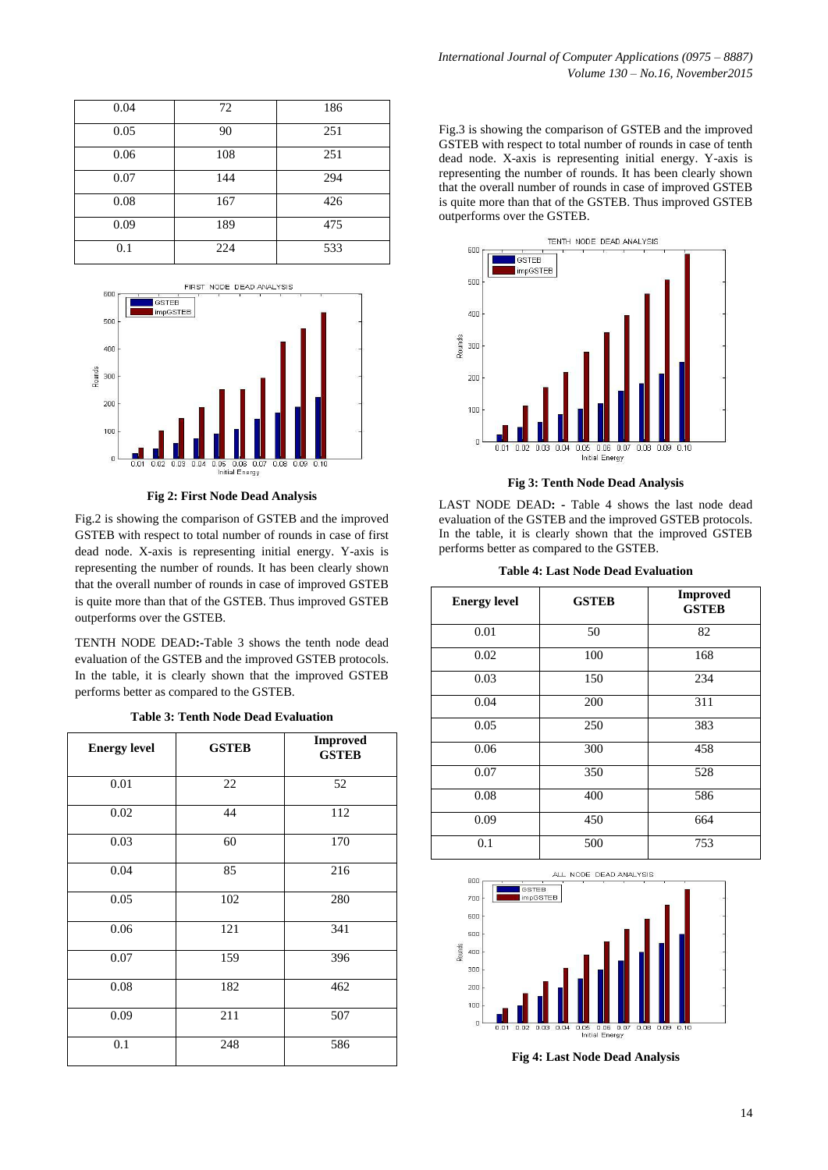| 0.04 | 72  | 186 |
|------|-----|-----|
| 0.05 | 90  | 251 |
| 0.06 | 108 | 251 |
| 0.07 | 144 | 294 |
| 0.08 | 167 | 426 |
| 0.09 | 189 | 475 |
| 0.1  | 224 | 533 |



**Fig 2: First Node Dead Analysis**

Fig.2 is showing the comparison of GSTEB and the improved GSTEB with respect to total number of rounds in case of first dead node. X-axis is representing initial energy. Y-axis is representing the number of rounds. It has been clearly shown that the overall number of rounds in case of improved GSTEB is quite more than that of the GSTEB. Thus improved GSTEB outperforms over the GSTEB.

TENTH NODE DEAD**:-**Table 3 shows the tenth node dead evaluation of the GSTEB and the improved GSTEB protocols. In the table, it is clearly shown that the improved GSTEB performs better as compared to the GSTEB.

**Table 3: Tenth Node Dead Evaluation**

| <b>Energy level</b> | <b>GSTEB</b> | <b>Improved</b><br><b>GSTEB</b> |
|---------------------|--------------|---------------------------------|
| 0.01                | 22           | 52                              |
| 0.02                | 44           | 112                             |
| 0.03                | 60           | 170                             |
| 0.04                | 85           | 216                             |
| 0.05                | 102          | 280                             |
| 0.06                | 121          | 341                             |
| 0.07                | 159          | 396                             |
| 0.08                | 182          | 462                             |
| 0.09                | 211          | 507                             |
| 0.1                 | 248          | 586                             |

Fig.3 is showing the comparison of GSTEB and the improved GSTEB with respect to total number of rounds in case of tenth dead node. X-axis is representing initial energy. Y-axis is representing the number of rounds. It has been clearly shown that the overall number of rounds in case of improved GSTEB is quite more than that of the GSTEB. Thus improved GSTEB outperforms over the GSTEB.



**Fig 3: Tenth Node Dead Analysis**

LAST NODE DEAD**: -** Table 4 shows the last node dead evaluation of the GSTEB and the improved GSTEB protocols. In the table, it is clearly shown that the improved GSTEB performs better as compared to the GSTEB.

| <b>Table 4: Last Node Dead Evaluation</b> |  |
|-------------------------------------------|--|
|                                           |  |

| <b>Energy level</b> | <b>GSTEB</b> | <b>Improved</b><br><b>GSTEB</b> |
|---------------------|--------------|---------------------------------|
| 0.01                | 50           | 82                              |
| 0.02                | 100          | 168                             |
| 0.03                | 150          | 234                             |
| 0.04                | 200          | 311                             |
| 0.05                | 250          | 383                             |
| 0.06                | 300          | 458                             |
| 0.07                | 350          | 528                             |
| 0.08                | 400          | 586                             |
| 0.09                | 450          | 664                             |
| 0.1                 | 500          | 753                             |



**Fig 4: Last Node Dead Analysis**